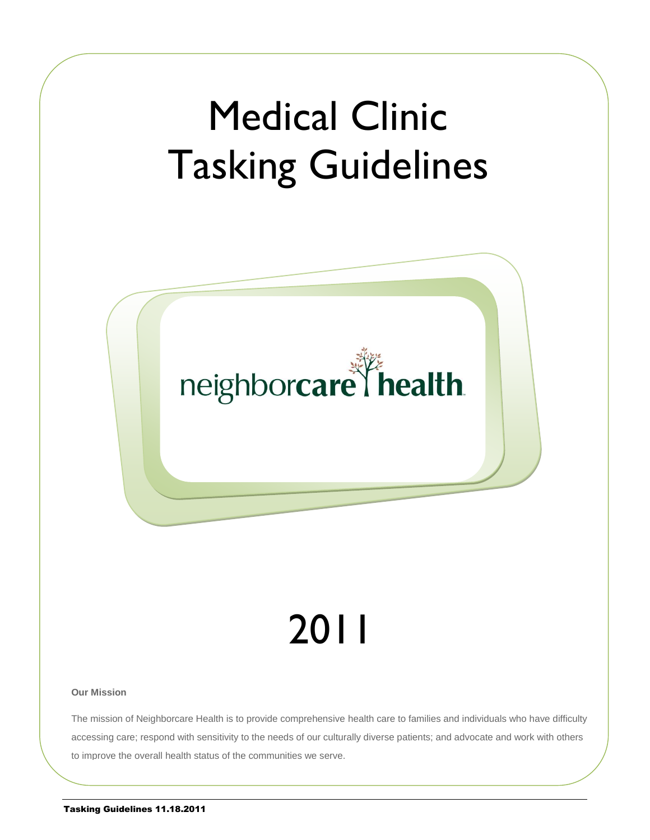

#### **Our Mission**

The mission of Neighborcare Health is to provide comprehensive health care to families and individuals who have difficulty accessing care; respond with sensitivity to the needs of our culturally diverse patients; and advocate and work with others to improve the overall health status of the communities we serve.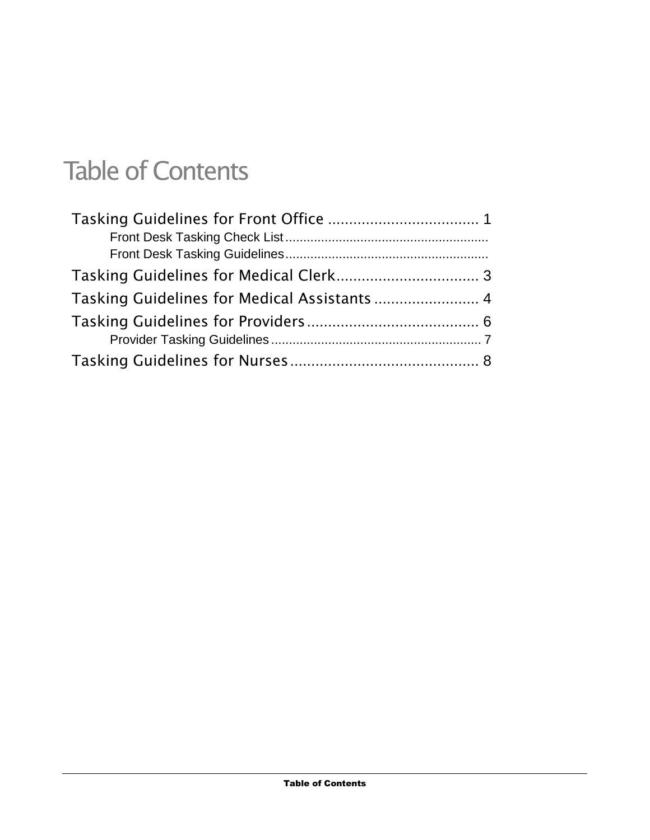# Table of Contents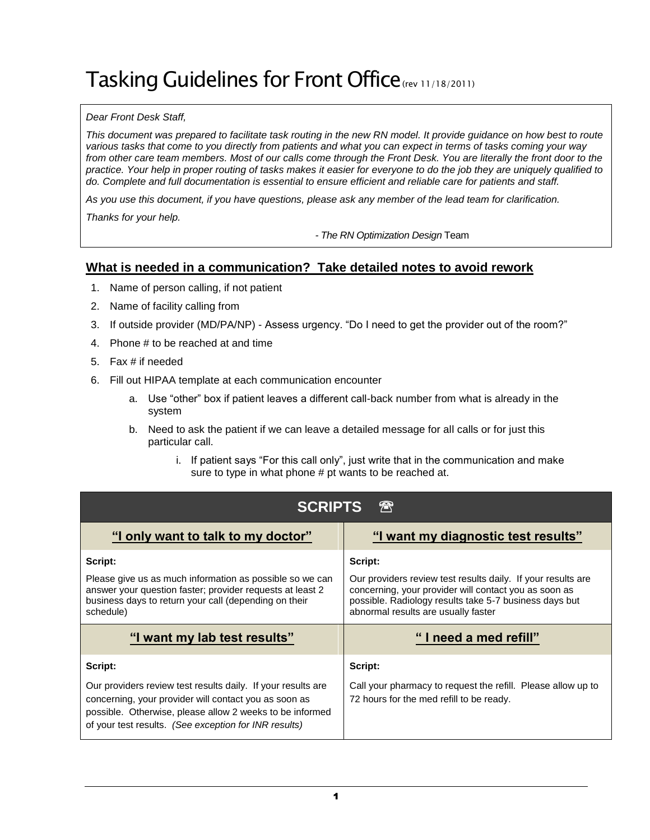# <span id="page-2-0"></span>Tasking Guidelines for Front Office(rev 11/18/2011)

#### *Dear Front Desk Staff,*

This document was prepared to facilitate task routing in the new RN model. It provide guidance on how best to route *various tasks that come to you directly from patients and what you can expect in terms of tasks coming your way*  from other care team members. Most of our calls come through the Front Desk. You are literally the front door to the *practice. Your help in proper routing of tasks makes it easier for everyone to do the job they are uniquely qualified to do. Complete and full documentation is essential to ensure efficient and reliable care for patients and staff.*

*As you use this document, if you have questions, please ask any member of the lead team for clarification.*

*Thanks for your help.* 

*- The RN Optimization Design* Team

### **What is needed in a communication? Take detailed notes to avoid rework**

- 1. Name of person calling, if not patient
- 2. Name of facility calling from
- 3. If outside provider (MD/PA/NP) Assess urgency. "Do I need to get the provider out of the room?"
- 4. Phone # to be reached at and time
- 5. Fax # if needed
- 6. Fill out HIPAA template at each communication encounter
	- a. Use "other" box if patient leaves a different call-back number from what is already in the system
	- b. Need to ask the patient if we can leave a detailed message for all calls or for just this particular call.
		- i. If patient says "For this call only", just write that in the communication and make sure to type in what phone # pt wants to be reached at.

| 冊<br><b>SCRIPTS</b>                                                                                                                                                                                                                        |                                                                                                                                                                                                                                   |  |  |  |  |
|--------------------------------------------------------------------------------------------------------------------------------------------------------------------------------------------------------------------------------------------|-----------------------------------------------------------------------------------------------------------------------------------------------------------------------------------------------------------------------------------|--|--|--|--|
| "I only want to talk to my doctor"                                                                                                                                                                                                         | "I want my diagnostic test results"                                                                                                                                                                                               |  |  |  |  |
| Script:<br>Please give us as much information as possible so we can<br>answer your question faster; provider requests at least 2<br>business days to return your call (depending on their<br>schedule)                                     | Script:<br>Our providers review test results daily. If your results are<br>concerning, your provider will contact you as soon as<br>possible. Radiology results take 5-7 business days but<br>abnormal results are usually faster |  |  |  |  |
| "I want my lab test results"                                                                                                                                                                                                               | "I need a med refill"                                                                                                                                                                                                             |  |  |  |  |
| Script:                                                                                                                                                                                                                                    | Script:                                                                                                                                                                                                                           |  |  |  |  |
| Our providers review test results daily. If your results are<br>concerning, your provider will contact you as soon as<br>possible. Otherwise, please allow 2 weeks to be informed<br>of your test results. (See exception for INR results) | Call your pharmacy to request the refill. Please allow up to<br>72 hours for the med refill to be ready.                                                                                                                          |  |  |  |  |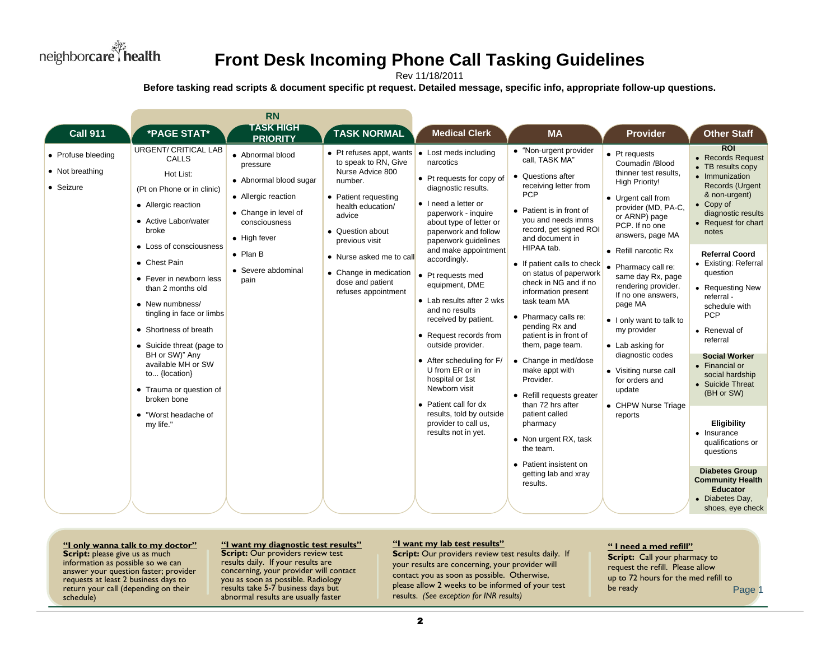

## **Front Desk Incoming Phone Call Tasking Guidelines**

Rev 11/18/2011

Before tasking read scripts & document specific pt request. Detailed message, specific info, appropriate follow-up questions.

|                                                                                                                                                                                                                                                                                                                                                                                                                                                                                                                                        | <b>RN</b>                                                                                                                                                                                |                                                                                                                                                                                                                                                                                         |                                                                                                                                                                                                                                                                                                                                                                                                                                                                                                                                                                                                             |                                                                                                                                                                                                                                                                                                                                                                                                                                                                                                                                                                                                                                                                               |                                                                                                                                                                                                                                                                                                                                                                                                                                                                                                      |                                                                                                                                                                                                                                                                                                                                                                                                                                                                                                                                                                                                                              |
|----------------------------------------------------------------------------------------------------------------------------------------------------------------------------------------------------------------------------------------------------------------------------------------------------------------------------------------------------------------------------------------------------------------------------------------------------------------------------------------------------------------------------------------|------------------------------------------------------------------------------------------------------------------------------------------------------------------------------------------|-----------------------------------------------------------------------------------------------------------------------------------------------------------------------------------------------------------------------------------------------------------------------------------------|-------------------------------------------------------------------------------------------------------------------------------------------------------------------------------------------------------------------------------------------------------------------------------------------------------------------------------------------------------------------------------------------------------------------------------------------------------------------------------------------------------------------------------------------------------------------------------------------------------------|-------------------------------------------------------------------------------------------------------------------------------------------------------------------------------------------------------------------------------------------------------------------------------------------------------------------------------------------------------------------------------------------------------------------------------------------------------------------------------------------------------------------------------------------------------------------------------------------------------------------------------------------------------------------------------|------------------------------------------------------------------------------------------------------------------------------------------------------------------------------------------------------------------------------------------------------------------------------------------------------------------------------------------------------------------------------------------------------------------------------------------------------------------------------------------------------|------------------------------------------------------------------------------------------------------------------------------------------------------------------------------------------------------------------------------------------------------------------------------------------------------------------------------------------------------------------------------------------------------------------------------------------------------------------------------------------------------------------------------------------------------------------------------------------------------------------------------|
| <b>Call 911</b><br>*PAGE STAT*                                                                                                                                                                                                                                                                                                                                                                                                                                                                                                         | <b>TASK HIGH</b><br><b>PRIORITY</b>                                                                                                                                                      | <b>TASK NORMAL</b>                                                                                                                                                                                                                                                                      | <b>Medical Clerk</b>                                                                                                                                                                                                                                                                                                                                                                                                                                                                                                                                                                                        | <b>MA</b>                                                                                                                                                                                                                                                                                                                                                                                                                                                                                                                                                                                                                                                                     | <b>Provider</b>                                                                                                                                                                                                                                                                                                                                                                                                                                                                                      | <b>Other Staff</b>                                                                                                                                                                                                                                                                                                                                                                                                                                                                                                                                                                                                           |
| <b>URGENT/ CRITICAL LAB</b><br>• Profuse bleeding<br>CALLS<br>• Not breathing<br>Hot List:<br>• Seizure<br>(Pt on Phone or in clinic)<br>• Allergic reaction<br>• Active Labor/water<br>broke<br>• Loss of consciousness<br>• Chest Pain<br>• Fever in newborn less<br>than 2 months old<br>• New numbness/<br>tingling in face or limbs<br>• Shortness of breath<br>• Suicide threat (page to<br>BH or SW)" Any<br>available MH or SW<br>to {location}<br>• Trauma or question of<br>broken bone<br>• "Worst headache of<br>my life." | • Abnormal blood<br>pressure<br>• Abnormal blood sugar<br>• Allergic reaction<br>• Change in level of<br>consciousness<br>• High fever<br>$\bullet$ Plan B<br>• Severe abdominal<br>pain | • Pt refuses appt, wants $\bullet$<br>to speak to RN, Give<br>Nurse Advice 800<br>number.<br>• Patient requesting<br>health education/<br>advice<br>• Question about<br>previous visit<br>• Nurse asked me to call<br>• Change in medication<br>dose and patient<br>refuses appointment | Lost meds including<br>narcotics<br>• Pt requests for copy of<br>diagnostic results.<br>• I need a letter or<br>paperwork - inquire<br>about type of letter or<br>paperwork and follow<br>paperwork guidelines<br>and make appointment<br>accordingly.<br>• Pt requests med<br>equipment, DME<br>• Lab results after 2 wks<br>and no results<br>received by patient.<br>• Request records from<br>outside provider.<br>• After scheduling for F/<br>U from ER or in<br>hospital or 1st<br>Newborn visit<br>• Patient call for dx<br>results, told by outside<br>provider to call us.<br>results not in yet. | • "Non-urgent provider<br>call. TASK MA"<br>• Questions after<br>receiving letter from<br><b>PCP</b><br>• Patient is in front of<br>you and needs imms<br>record, get signed ROI<br>and document in<br>HIPAA tab.<br>• If patient calls to check<br>on status of paperwork<br>check in NG and if no<br>information present<br>task team MA<br>• Pharmacy calls re:<br>pending Rx and<br>patient is in front of<br>them, page team.<br>• Change in med/dose<br>make appt with<br>Provider.<br>• Refill requests greater<br>than 72 hrs after<br>patient called<br>pharmacy<br>• Non urgent RX, task<br>the team.<br>• Patient insistent on<br>getting lab and xray<br>results. | $\bullet$ Pt requests<br>Coumadin /Blood<br>thinner test results.<br><b>High Priority!</b><br>• Urgent call from<br>provider (MD, PA-C,<br>or ARNP) page<br>PCP. If no one<br>answers, page MA<br>• Refill narcotic Rx<br>• Pharmacy call re:<br>same day Rx, page<br>rendering provider.<br>If no one answers,<br>page MA<br>• I only want to talk to<br>my provider<br>• Lab asking for<br>diagnostic codes<br>• Visiting nurse call<br>for orders and<br>update<br>• CHPW Nurse Triage<br>reports | <b>ROI</b><br>• Records Request<br>• TB results copy<br>• Immunization<br>Records (Urgent<br>& non-urgent)<br>$\bullet$ Copy of<br>diagnostic results<br>• Request for chart<br>notes<br><b>Referral Coord</b><br>• Existing: Referral<br>question<br>• Requesting New<br>referral -<br>schedule with<br><b>PCP</b><br>• Renewal of<br>referral<br><b>Social Worker</b><br>• Financial or<br>social hardship<br>• Suicide Threat<br>(BH or SW)<br>Eligibility<br>• Insurance<br>qualifications or<br>questions<br><b>Diabetes Group</b><br><b>Community Health</b><br><b>Educator</b><br>• Diabetes Day,<br>shoes, eye check |

**Example 18 a media and the start of the start of the start of the start of the start of the start of the start of the start of the start of the start of the start of the start of the start of the start of the start of the**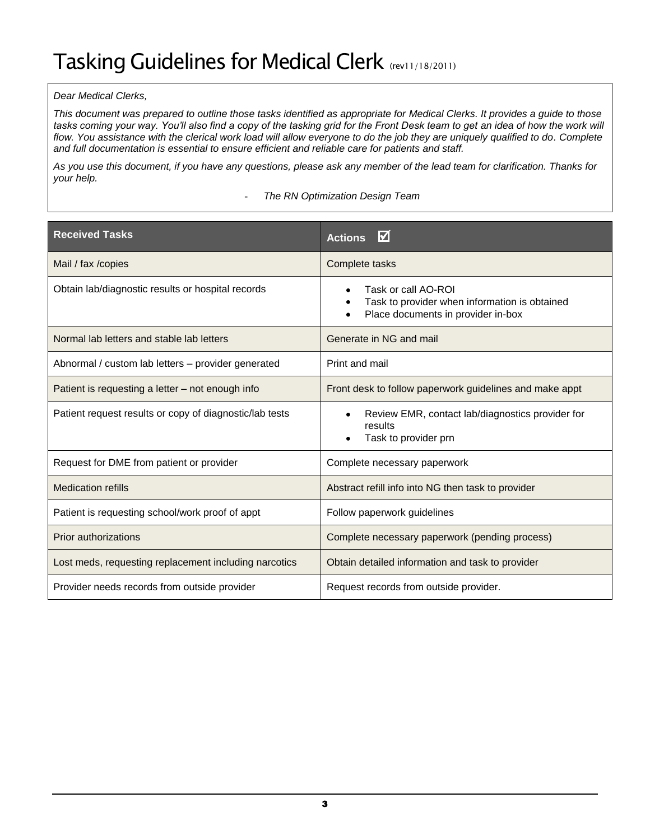### <span id="page-4-0"></span>*Dear Medical Clerks,*

*This document was prepared to outline those tasks identified as appropriate for Medical Clerks. It provides a guide to those tasks coming your way. You'll also find a copy of the tasking grid for the Front Desk team to get an idea of how the work will flow. You assistance with the clerical work load will allow everyone to do the job they are uniquely qualified to do. Complete and full documentation is essential to ensure efficient and reliable care for patients and staff.*

*As you use this document, if you have any questions, please ask any member of the lead team for clarification. Thanks for your help.*

- *The RN Optimization Design Team*

<span id="page-4-1"></span>

| <b>Received Tasks</b>                                   | $\boldsymbol{\nabla}$<br><b>Actions</b>                                                                                      |
|---------------------------------------------------------|------------------------------------------------------------------------------------------------------------------------------|
| Mail / fax / copies                                     | Complete tasks                                                                                                               |
| Obtain lab/diagnostic results or hospital records       | Task or call AO-ROI<br>Task to provider when information is obtained<br>$\bullet$<br>Place documents in provider in-box<br>٠ |
| Normal lab letters and stable lab letters               | Generate in NG and mail                                                                                                      |
| Abnormal / custom lab letters - provider generated      | Print and mail                                                                                                               |
| Patient is requesting a letter – not enough info        | Front desk to follow paperwork guidelines and make appt                                                                      |
| Patient request results or copy of diagnostic/lab tests | Review EMR, contact lab/diagnostics provider for<br>$\bullet$<br>results<br>Task to provider prn                             |
| Request for DME from patient or provider                | Complete necessary paperwork                                                                                                 |
| <b>Medication refills</b>                               | Abstract refill info into NG then task to provider                                                                           |
| Patient is requesting school/work proof of appt         | Follow paperwork guidelines                                                                                                  |
| <b>Prior authorizations</b>                             | Complete necessary paperwork (pending process)                                                                               |
| Lost meds, requesting replacement including narcotics   | Obtain detailed information and task to provider                                                                             |
| Provider needs records from outside provider            | Request records from outside provider.                                                                                       |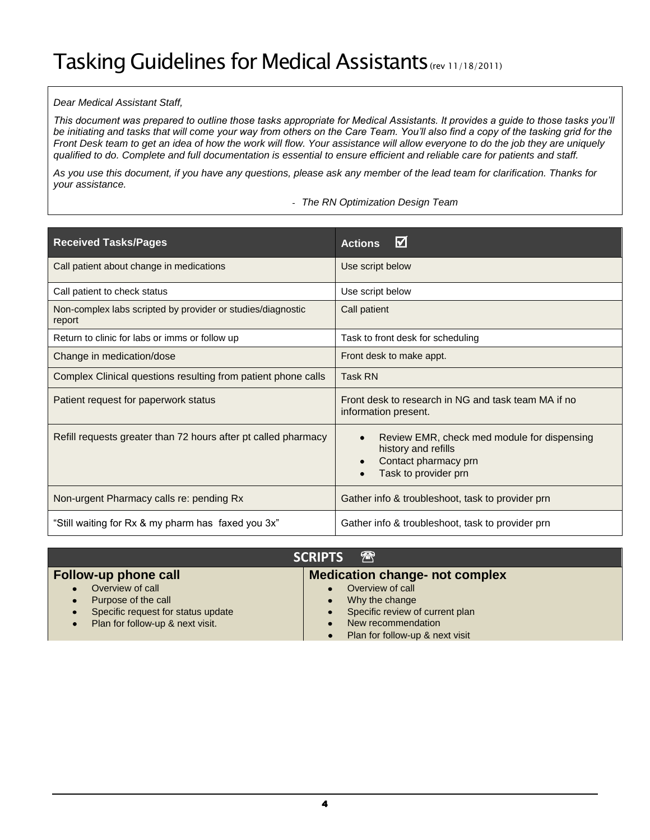#### *Dear Medical Assistant Staff,*

*This document was prepared to outline those tasks appropriate for Medical Assistants. It provides a guide to those tasks you'll be initiating and tasks that will come your way from others on the Care Team. You'll also find a copy of the tasking grid for the Front Desk team to get an idea of how the work will flow. Your assistance will allow everyone to do the job they are uniquely qualified to do. Complete and full documentation is essential to ensure efficient and reliable care for patients and staff.*

*As you use this document, if you have any questions, please ask any member of the lead team for clarification. Thanks for your assistance.*

- *The RN Optimization Design Team*

| <b>Received Tasks/Pages</b>                                           | $\boldsymbol{\nabla}$<br><b>Actions</b>                                                                            |
|-----------------------------------------------------------------------|--------------------------------------------------------------------------------------------------------------------|
| Call patient about change in medications                              | Use script below                                                                                                   |
| Call patient to check status                                          | Use script below                                                                                                   |
| Non-complex labs scripted by provider or studies/diagnostic<br>report | Call patient                                                                                                       |
| Return to clinic for labs or imms or follow up                        | Task to front desk for scheduling                                                                                  |
| Change in medication/dose                                             | Front desk to make appt.                                                                                           |
| Complex Clinical questions resulting from patient phone calls         | <b>Task RN</b>                                                                                                     |
| Patient request for paperwork status                                  | Front desk to research in NG and task team MA if no<br>information present.                                        |
| Refill requests greater than 72 hours after pt called pharmacy        | Review EMR, check med module for dispensing<br>history and refills<br>Contact pharmacy prn<br>Task to provider prn |
| Non-urgent Pharmacy calls re: pending Rx                              | Gather info & troubleshoot, task to provider prn                                                                   |
| "Still waiting for Rx & my pharm has faxed you 3x"                    | Gather info & troubleshoot, task to provider prn                                                                   |

| 需<br><b>SCRIPTS</b>                                                                                                                                                   |                                                                                                                                |  |  |  |  |
|-----------------------------------------------------------------------------------------------------------------------------------------------------------------------|--------------------------------------------------------------------------------------------------------------------------------|--|--|--|--|
| <b>Medication change- not complex</b><br><b>Follow-up phone call</b>                                                                                                  |                                                                                                                                |  |  |  |  |
| Overview of call<br>$\bullet$<br>Purpose of the call<br>$\bullet$<br>Specific request for status update<br>$\bullet$<br>Plan for follow-up & next visit.<br>$\bullet$ | Overview of call<br>Why the change<br>Specific review of current plan<br>New recommendation<br>Plan for follow-up & next visit |  |  |  |  |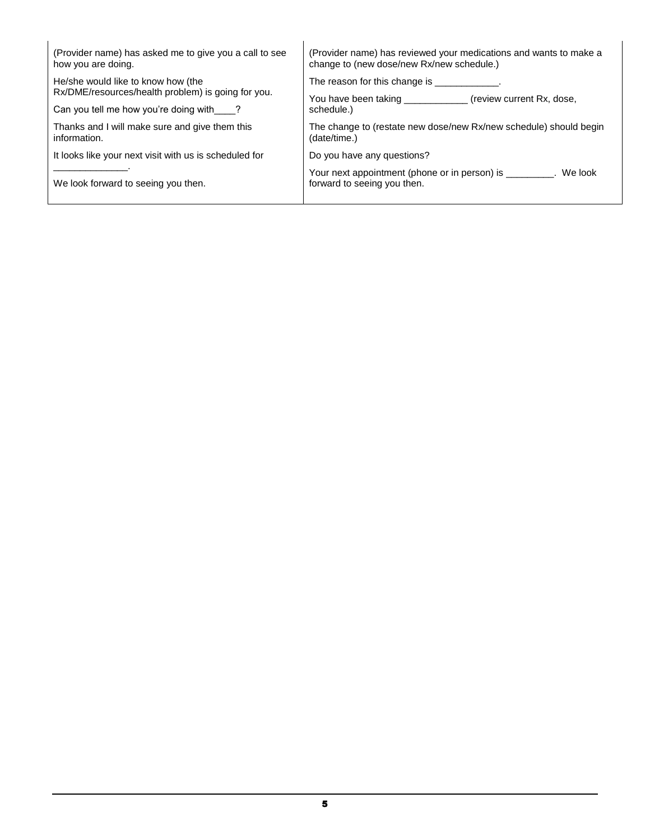<span id="page-6-0"></span>

| (Provider name) has asked me to give you a call to see<br>how you are doing.             | (Provider name) has reviewed your medications and wants to make a<br>change to (new dose/new Rx/new schedule.) |  |  |
|------------------------------------------------------------------------------------------|----------------------------------------------------------------------------------------------------------------|--|--|
| He/she would like to know how (the<br>Rx/DME/resources/health problem) is going for you. | The reason for this change is The reason for this change is                                                    |  |  |
| Can you tell me how you're doing with ?                                                  | You have been taking<br>(review current Rx, dose,<br>schedule.)                                                |  |  |
| Thanks and I will make sure and give them this<br>information.                           | The change to (restate new dose/new Rx/new schedule) should begin<br>(date/time.)                              |  |  |
| It looks like your next visit with us is scheduled for                                   | Do you have any questions?                                                                                     |  |  |
| We look forward to seeing you then.                                                      | Your next appointment (phone or in person) is _________. We look<br>forward to seeing you then.                |  |  |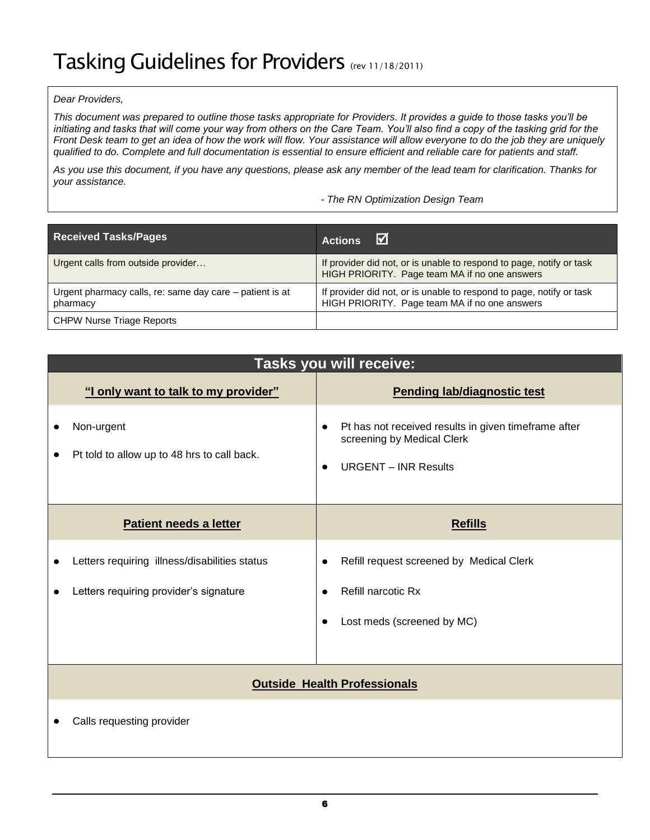## Tasking Guidelines for Providers (rev 11/18/2011)

#### *Dear Providers,*

*This document was prepared to outline those tasks appropriate for Providers. It provides a guide to those tasks you'll be initiating and tasks that will come your way from others on the Care Team. You'll also find a copy of the tasking grid for the Front Desk team to get an idea of how the work will flow. Your assistance will allow everyone to do the job they are uniquely qualified to do. Complete and full documentation is essential to ensure efficient and reliable care for patients and staff.*

*As you use this document, if you have any questions, please ask any member of the lead team for clarification. Thanks for your assistance.*

*- The RN Optimization Design Team*

| <b>Received Tasks/Pages</b>                                          | M<br><b>Actions</b>                                                                                                   |
|----------------------------------------------------------------------|-----------------------------------------------------------------------------------------------------------------------|
| Urgent calls from outside provider                                   | If provider did not, or is unable to respond to page, notify or task<br>HIGH PRIORITY. Page team MA if no one answers |
| Urgent pharmacy calls, re: same day care – patient is at<br>pharmacy | If provider did not, or is unable to respond to page, notify or task<br>HIGH PRIORITY. Page team MA if no one answers |
| <b>CHPW Nurse Triage Reports</b>                                     |                                                                                                                       |

| <b>Tasks you will receive:</b> |                                                                                         |                                                                                                                   |  |  |  |
|--------------------------------|-----------------------------------------------------------------------------------------|-------------------------------------------------------------------------------------------------------------------|--|--|--|
|                                | "I only want to talk to my provider"                                                    | <b>Pending lab/diagnostic test</b>                                                                                |  |  |  |
|                                | Non-urgent<br>Pt told to allow up to 48 hrs to call back.                               | Pt has not received results in given timeframe after<br>screening by Medical Clerk<br><b>URGENT - INR Results</b> |  |  |  |
|                                | Patient needs a letter                                                                  | <b>Refills</b>                                                                                                    |  |  |  |
|                                | Letters requiring illness/disabilities status<br>Letters requiring provider's signature | Refill request screened by Medical Clerk<br>Refill narcotic Rx<br>Lost meds (screened by MC)                      |  |  |  |
|                                |                                                                                         |                                                                                                                   |  |  |  |
|                                | <b>Outside Health Professionals</b>                                                     |                                                                                                                   |  |  |  |
|                                | Calls requesting provider                                                               |                                                                                                                   |  |  |  |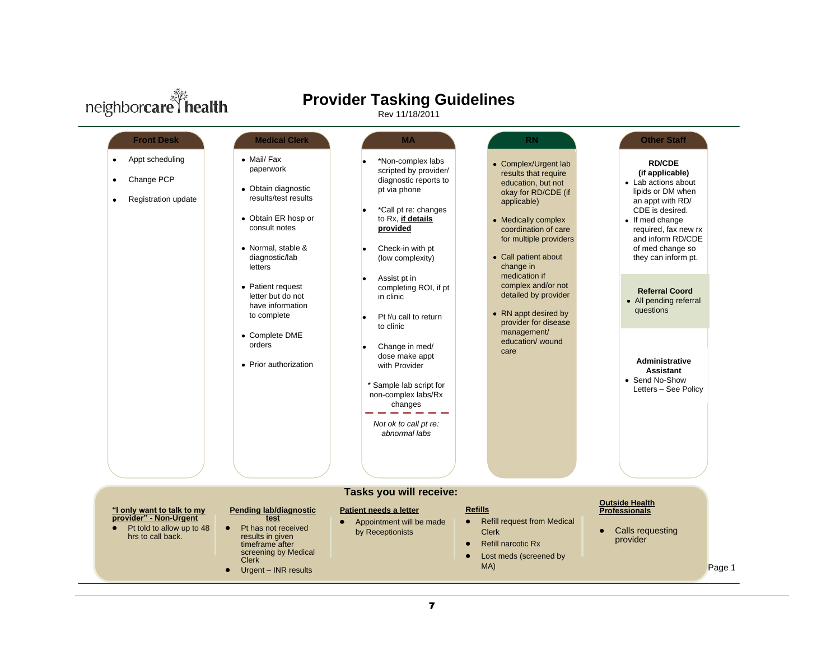

## **Provider Tasking Guidelines**